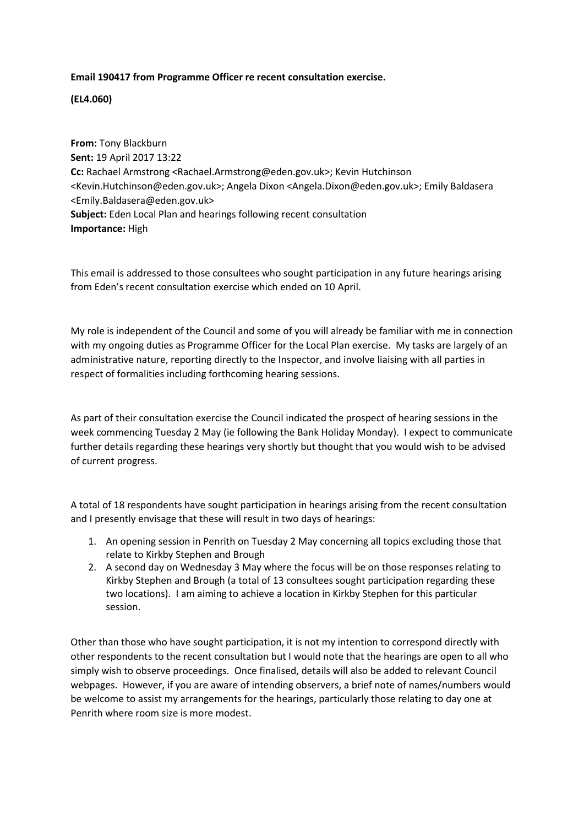## **Email 190417 from Programme Officer re recent consultation exercise.**

**(EL4.060)**

**From:** Tony Blackburn **Sent:** 19 April 2017 13:22 **Cc:** Rachael Armstrong <Rachael.Armstrong@eden.gov.uk>; Kevin Hutchinson <Kevin.Hutchinson@eden.gov.uk>; Angela Dixon <Angela.Dixon@eden.gov.uk>; Emily Baldasera <Emily.Baldasera@eden.gov.uk> **Subject:** Eden Local Plan and hearings following recent consultation **Importance:** High

This email is addressed to those consultees who sought participation in any future hearings arising from Eden's recent consultation exercise which ended on 10 April.

My role is independent of the Council and some of you will already be familiar with me in connection with my ongoing duties as Programme Officer for the Local Plan exercise. My tasks are largely of an administrative nature, reporting directly to the Inspector, and involve liaising with all parties in respect of formalities including forthcoming hearing sessions.

As part of their consultation exercise the Council indicated the prospect of hearing sessions in the week commencing Tuesday 2 May (ie following the Bank Holiday Monday). I expect to communicate further details regarding these hearings very shortly but thought that you would wish to be advised of current progress.

A total of 18 respondents have sought participation in hearings arising from the recent consultation and I presently envisage that these will result in two days of hearings:

- 1. An opening session in Penrith on Tuesday 2 May concerning all topics excluding those that relate to Kirkby Stephen and Brough
- 2. A second day on Wednesday 3 May where the focus will be on those responses relating to Kirkby Stephen and Brough (a total of 13 consultees sought participation regarding these two locations). I am aiming to achieve a location in Kirkby Stephen for this particular session.

Other than those who have sought participation, it is not my intention to correspond directly with other respondents to the recent consultation but I would note that the hearings are open to all who simply wish to observe proceedings. Once finalised, details will also be added to relevant Council webpages. However, if you are aware of intending observers, a brief note of names/numbers would be welcome to assist my arrangements for the hearings, particularly those relating to day one at Penrith where room size is more modest.